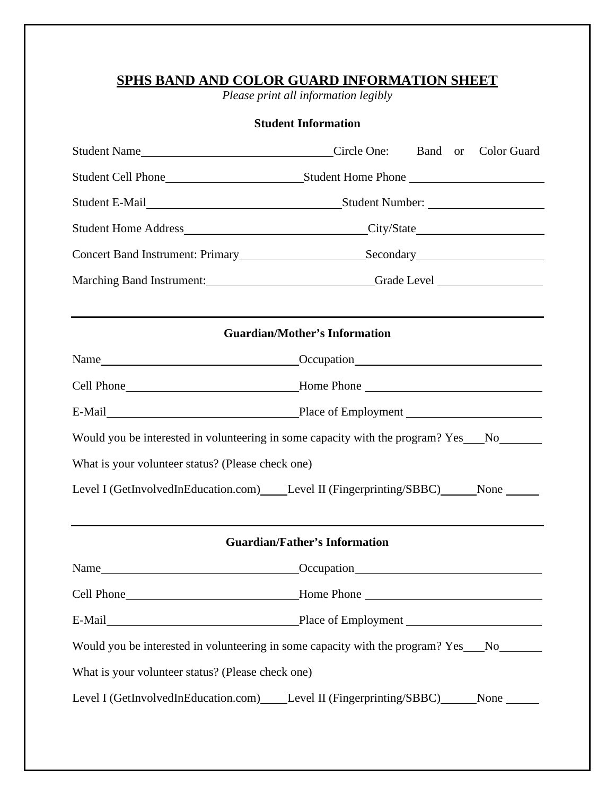# **SPHS BAND AND COLOR GUARD INFORMATION SHEET**

*Please print all information legibly* 

# **Student Information**

|                                                                                         | Concert Band Instrument: Primary Secondary Secondary Secondary                                                                                                                                                                 |  |  |
|-----------------------------------------------------------------------------------------|--------------------------------------------------------------------------------------------------------------------------------------------------------------------------------------------------------------------------------|--|--|
|                                                                                         | Marching Band Instrument: Camera Contact Contact Contact Contact Contact Contact Contact Contact Contact Contact Contact Contact Contact Contact Contact Contact Contact Contact Contact Contact Contact Contact Contact Conta |  |  |
|                                                                                         |                                                                                                                                                                                                                                |  |  |
|                                                                                         | <b>Guardian/Mother's Information</b>                                                                                                                                                                                           |  |  |
|                                                                                         |                                                                                                                                                                                                                                |  |  |
|                                                                                         |                                                                                                                                                                                                                                |  |  |
|                                                                                         |                                                                                                                                                                                                                                |  |  |
| Would you be interested in volunteering in some capacity with the program? Yes__No_____ |                                                                                                                                                                                                                                |  |  |
| What is your volunteer status? (Please check one)                                       |                                                                                                                                                                                                                                |  |  |
| Level I (GetInvolvedInEducation.com) Level II (Fingerprinting/SBBC) None _____          |                                                                                                                                                                                                                                |  |  |
|                                                                                         | the control of the control of the control of the control of the control of the control of the control of the control of the control of the control of the control of the control of the control of the control of the control  |  |  |
|                                                                                         | <b>Guardian/Father's Information</b>                                                                                                                                                                                           |  |  |
|                                                                                         |                                                                                                                                                                                                                                |  |  |
|                                                                                         | Cell Phone Mone Mone Phone Phone                                                                                                                                                                                               |  |  |
|                                                                                         |                                                                                                                                                                                                                                |  |  |
|                                                                                         | Would you be interested in volunteering in some capacity with the program? Yes No                                                                                                                                              |  |  |
| What is your volunteer status? (Please check one)                                       |                                                                                                                                                                                                                                |  |  |
| Level I (GetInvolvedInEducation.com) Level II (Fingerprinting/SBBC) None                |                                                                                                                                                                                                                                |  |  |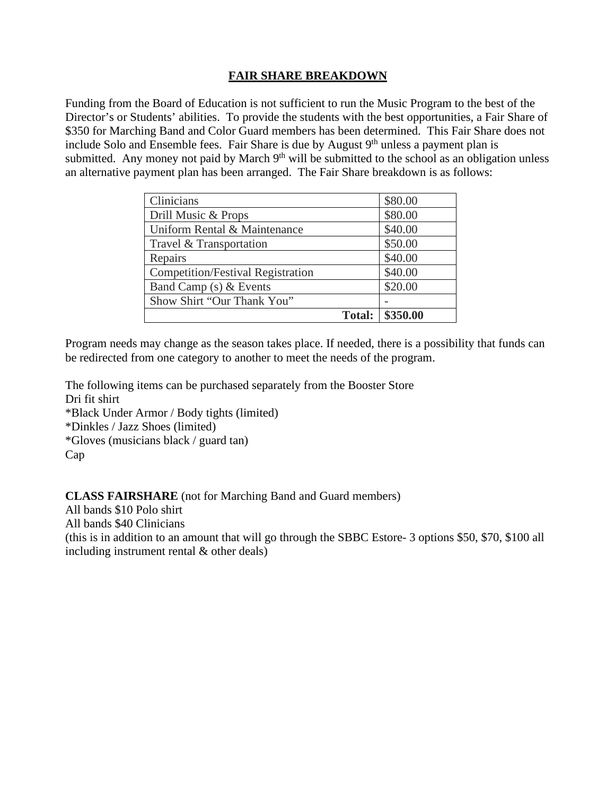# **FAIR SHARE BREAKDOWN**

Funding from the Board of Education is not sufficient to run the Music Program to the best of the Director's or Students' abilities. To provide the students with the best opportunities, a Fair Share of \$350 for Marching Band and Color Guard members has been determined. This Fair Share does not include Solo and Ensemble fees. Fair Share is due by August  $9<sup>th</sup>$  unless a payment plan is submitted. Any money not paid by March  $9<sup>th</sup>$  will be submitted to the school as an obligation unless an alternative payment plan has been arranged. The Fair Share breakdown is as follows:

| Clinicians                               |               | \$80.00  |
|------------------------------------------|---------------|----------|
| Drill Music & Props                      |               | \$80.00  |
| Uniform Rental & Maintenance             |               | \$40.00  |
| Travel & Transportation                  |               | \$50.00  |
| Repairs                                  |               | \$40.00  |
| <b>Competition/Festival Registration</b> |               | \$40.00  |
| Band Camp (s) & Events                   |               | \$20.00  |
| Show Shirt "Our Thank You"               |               |          |
|                                          | <b>Total:</b> | \$350.00 |

Program needs may change as the season takes place. If needed, there is a possibility that funds can be redirected from one category to another to meet the needs of the program.

The following items can be purchased separately from the Booster Store Dri fit shirt \*Black Under Armor / Body tights (limited) \*Dinkles / Jazz Shoes (limited) \*Gloves (musicians black / guard tan) Cap

**CLASS FAIRSHARE** (not for Marching Band and Guard members)

All bands \$10 Polo shirt

All bands \$40 Clinicians

(this is in addition to an amount that will go through the SBBC Estore- 3 options \$50, \$70, \$100 all including instrument rental & other deals)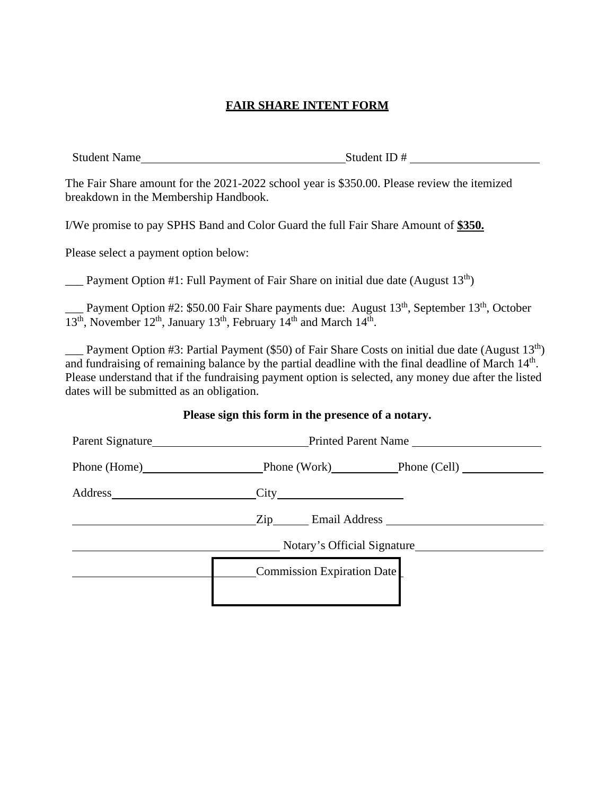# **FAIR SHARE INTENT FORM**

Student Name Student ID #

The Fair Share amount for the 2021-2022 school year is \$350.00. Please review the itemized breakdown in the Membership Handbook.

I/We promise to pay SPHS Band and Color Guard the full Fair Share Amount of **\$350.** 

Please select a payment option below:

**Example 1.** Payment Option #1: Full Payment of Fair Share on initial due date (August  $13<sup>th</sup>$ )

17th Payment Option #2: \$50.00 Fair Share payments due: August 13<sup>th</sup>, September 13<sup>th</sup>, October  $\overline{13^{th}}$ , November 12<sup>th</sup>, January 13<sup>th</sup>, February 14<sup>th</sup> and March 14<sup>th</sup>.

Payment Option #3: Partial Payment (\$50) of Fair Share Costs on initial due date (August  $13<sup>th</sup>$ ) and fundraising of remaining balance by the partial deadline with the final deadline of March 14<sup>th</sup>. Please understand that if the fundraising payment option is selected, any money due after the listed dates will be submitted as an obligation.

### **Please sign this form in the presence of a notary.**

| Parent Signature Parent Name           |  |
|----------------------------------------|--|
| Phone (Home) Phone (Work) Phone (Cell) |  |
| Address City City                      |  |
| Zip Email Address                      |  |
| Notary's Official Signature            |  |
| Commission Expiration Date             |  |
|                                        |  |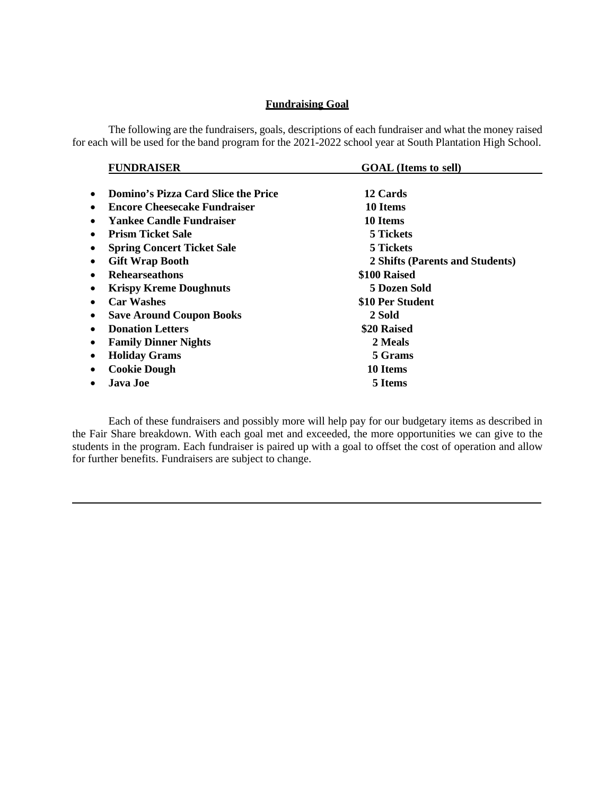#### **Fundraising Goal**

The following are the fundraisers, goals, descriptions of each fundraiser and what the money raised for each will be used for the band program for the 2021-2022 school year at South Plantation High School.

| <b>GOAL</b> (Items to sell)     |  |
|---------------------------------|--|
|                                 |  |
| 12 Cards                        |  |
| 10 Items                        |  |
| 10 Items                        |  |
| 5 Tickets                       |  |
| 5 Tickets                       |  |
| 2 Shifts (Parents and Students) |  |
| \$100 Raised                    |  |
| <b>5 Dozen Sold</b>             |  |
| \$10 Per Student                |  |
| 2 Sold                          |  |
| \$20 Raised                     |  |
| 2 Meals                         |  |
| 5 Grams                         |  |
| 10 Items                        |  |
| 5 Items                         |  |
|                                 |  |

Each of these fundraisers and possibly more will help pay for our budgetary items as described in the Fair Share breakdown. With each goal met and exceeded, the more opportunities we can give to the students in the program. Each fundraiser is paired up with a goal to offset the cost of operation and allow for further benefits. Fundraisers are subject to change.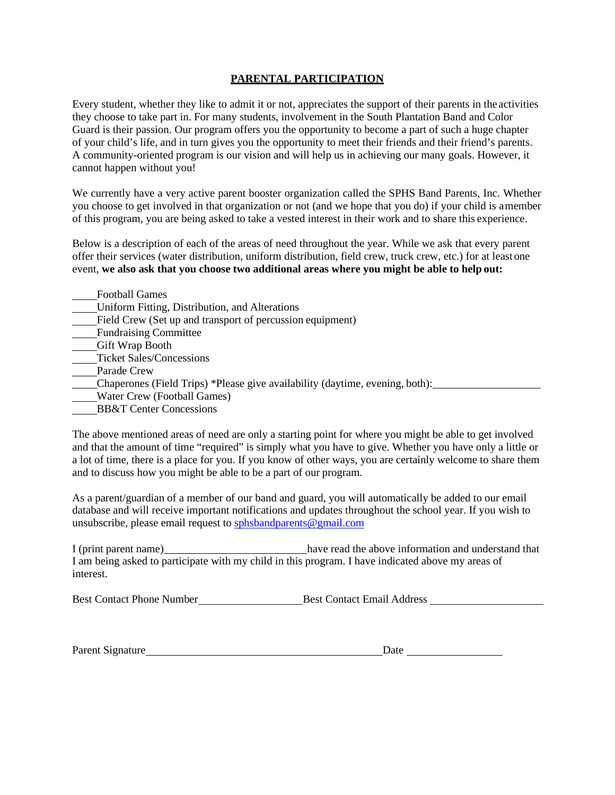#### **PARENTAL PARTICIPATION**

Every student, whether they like to admit it or not, appreciates the support of their parents in the activities they choose to take part in. For many students, involvement in the South Plantation Band and Color Guard is their passion. Our program offers you the opportunity to become a part of such a huge chapter of your child's life, and in turn gives you the opportunity to meet their friends and their friend's parents. A community-oriented program is our vision and will help us in achieving our many goals. However, it cannot happen without you!

We currently have a very active parent booster organization called the SPHS Band Parents, Inc. Whether you choose to get involved in that organization or not (and we hope that you do) if your child is amember of this program, you are being asked to take a vested interest in their work and to share this experience.

Below is a description of each of the areas of need throughout the year. While we ask that every parent offer their services (water distribution, uniform distribution, field crew, truck crew, etc.) for at leastone event, **we also ask that you choose two additional areas where you might be able to help out:**

- Football Games
- Uniform Fitting, Distribution, and Alterations
- Field Crew (Set up and transport of percussion equipment)
- Fundraising Committee
- Gift Wrap Booth
- Ticket Sales/Concessions
- Parade Crew
- Chaperones (Field Trips) \*Please give availability (daytime, evening, both):
- Water Crew (Football Games)
- BB&T Center Concessions

The above mentioned areas of need are only a starting point for where you might be able to get involved and that the amount of time "required" is simply what you have to give. Whether you have only a little or a lot of time, there is a place for you. If you know of other ways, you are certainly welcome to share them and to discuss how you might be able to be a part of our program.

As a parent/guardian of a member of our band and guard, you will automatically be added to our email database and will receive important notifications and updates throughout the school year. If you wish to unsubscribe, please email request to [sphsbandparents@gmail.com](mailto:sphsbandparents@gmail.com)

| I (print parent name)                                                                             | have read the above information and understand that |
|---------------------------------------------------------------------------------------------------|-----------------------------------------------------|
| I am being asked to participate with my child in this program. I have indicated above my areas of |                                                     |
| interest.                                                                                         |                                                     |

| <b>Best Contact Email Address</b><br><b>Best Contact Phone Number</b> |
|-----------------------------------------------------------------------|
|-----------------------------------------------------------------------|

| Parent Signature | Jate |
|------------------|------|
|                  |      |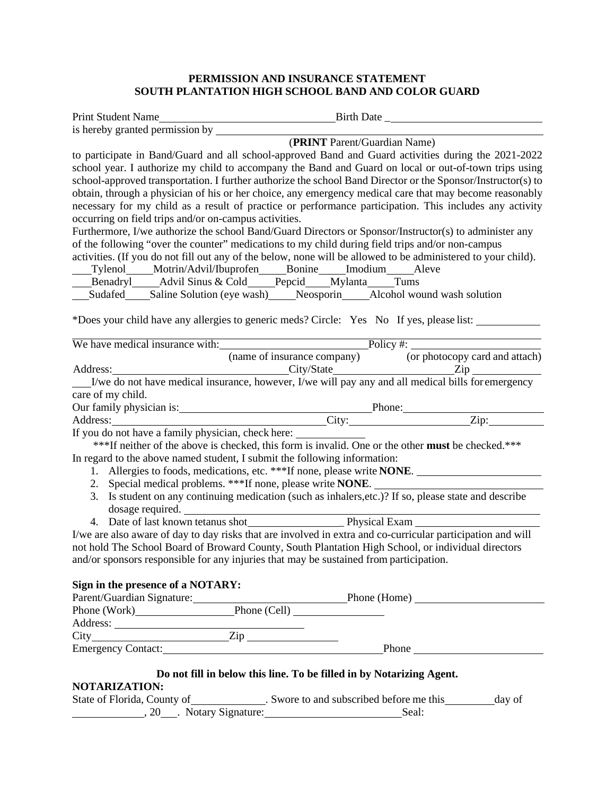### **PERMISSION AND INSURANCE STATEMENT SOUTH PLANTATION HIGH SCHOOL BAND AND COLOR GUARD**

| Print Student Name                                    |                                                                                                                                  |
|-------------------------------------------------------|----------------------------------------------------------------------------------------------------------------------------------|
|                                                       |                                                                                                                                  |
|                                                       | (PRINT Parent/Guardian Name)                                                                                                     |
|                                                       | to participate in Band/Guard and all school-approved Band and Guard activities during the 2021-2022                              |
|                                                       | school year. I authorize my child to accompany the Band and Guard on local or out-of-town trips using                            |
|                                                       | school-approved transportation. I further authorize the school Band Director or the Sponsor/Instructor(s) to                     |
|                                                       | obtain, through a physician of his or her choice, any emergency medical care that may become reasonably                          |
|                                                       | necessary for my child as a result of practice or performance participation. This includes any activity                          |
| occurring on field trips and/or on-campus activities. |                                                                                                                                  |
|                                                       | Furthermore, I/we authorize the school Band/Guard Directors or Sponsor/Instructor(s) to administer any                           |
|                                                       | of the following "over the counter" medications to my child during field trips and/or non-campus                                 |
|                                                       | activities. (If you do not fill out any of the below, none will be allowed to be administered to your child).                    |
|                                                       | ___Tylenol_____Motrin/Advil/Ibuprofen_____Bonine_____Imodium_____Aleve                                                           |
|                                                       | ___Benadryl____Advil Sinus & Cold____Pepcid___Mylanta___Tums                                                                     |
|                                                       | __Sudafed____Saline Solution (eye wash)____Neosporin____Alcohol wound wash solution                                              |
|                                                       | *Does your child have any allergies to generic meds? Circle: Yes No If yes, please list:                                         |
|                                                       | We have medical insurance with: <u>Policy #:</u> Policy <u>#:</u> Policy card and attach                                         |
|                                                       |                                                                                                                                  |
| Address:                                              |                                                                                                                                  |
|                                                       | dress: <u>City/State</u> City/State City/State City and all medical bills for emergency City and all medical bills for emergency |
| care of my child.                                     |                                                                                                                                  |
|                                                       |                                                                                                                                  |
|                                                       |                                                                                                                                  |
|                                                       |                                                                                                                                  |
|                                                       | ***If neither of the above is checked, this form is invalid. One or the other must be checked.***                                |
|                                                       | In regard to the above named student, I submit the following information:                                                        |
|                                                       | 1. Allergies to foods, medications, etc. ***If none, please write <b>NONE</b> .                                                  |
|                                                       | 2. Special medical problems. ***If none, please write NONE. _____________________                                                |
| dosage required.                                      | 3. Is student on any continuing medication (such as inhalers, etc.)? If so, please state and describe                            |
|                                                       |                                                                                                                                  |
|                                                       | I/we are also aware of day to day risks that are involved in extra and co-curricular participation and will                      |
|                                                       | not hold The School Board of Broward County, South Plantation High School, or individual directors                               |
|                                                       | and/or sponsors responsible for any injuries that may be sustained from participation.                                           |
| Sign in the presence of a NOTARY:                     |                                                                                                                                  |
|                                                       |                                                                                                                                  |
|                                                       | Parent/Guardian Signature: Phone (Home) Phone (Home) Phone (Work)                                                                |
|                                                       |                                                                                                                                  |
|                                                       |                                                                                                                                  |
|                                                       | Address: <u>Zip Zip Phone</u><br>Emergency Contact: Zip Phone Phone                                                              |
|                                                       | Do not fill in below this line. To be filled in by Notarizing Agent.                                                             |
| <b>NOTARIZATION:</b>                                  |                                                                                                                                  |
|                                                       | State of Florida, County of State State State State of Florida, County of State State 3.<br>day of                               |

, 20 . Notary Signature: Seal: